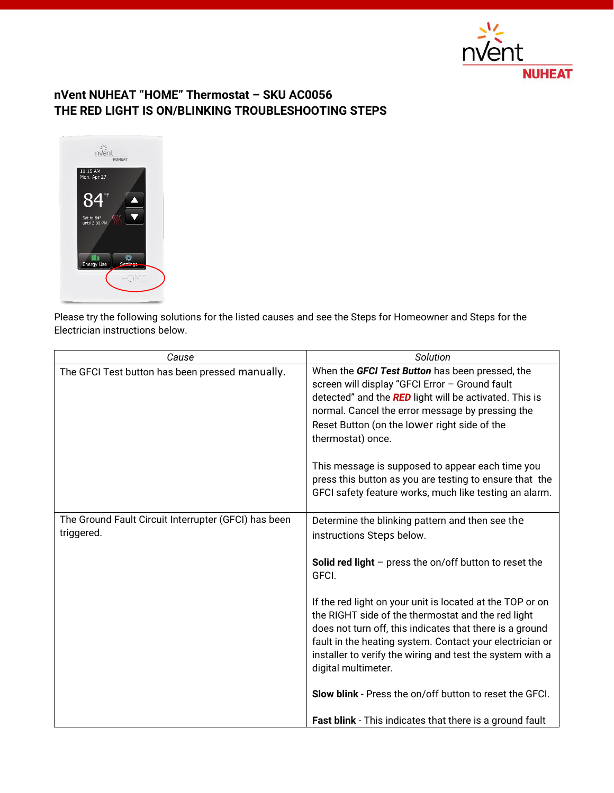

# **nVent NUHEAT "HOME" Thermostat – SKU AC0056 THE RED LIGHT IS ON/BLINKING TROUBLESHOOTING STEPS**



Please try the following solutions for the listed causes and see the Steps for Homeowner and Steps for the Electrician instructions below.

| Cause                                                              | Solution                                                                                                                                                                                                                                                                                                                                                                                                                                                      |
|--------------------------------------------------------------------|---------------------------------------------------------------------------------------------------------------------------------------------------------------------------------------------------------------------------------------------------------------------------------------------------------------------------------------------------------------------------------------------------------------------------------------------------------------|
| The GFCI Test button has been pressed manually.                    | When the GFCI Test Button has been pressed, the<br>screen will display "GFCI Error - Ground fault<br>detected" and the RED light will be activated. This is<br>normal. Cancel the error message by pressing the<br>Reset Button (on the lower right side of the<br>thermostat) once.<br>This message is supposed to appear each time you<br>press this button as you are testing to ensure that the<br>GFCI safety feature works, much like testing an alarm. |
|                                                                    |                                                                                                                                                                                                                                                                                                                                                                                                                                                               |
| The Ground Fault Circuit Interrupter (GFCI) has been<br>triggered. | Determine the blinking pattern and then see the<br>instructions Steps below.                                                                                                                                                                                                                                                                                                                                                                                  |
|                                                                    | <b>Solid red light</b> $-$ press the on/off button to reset the<br>GFCI.                                                                                                                                                                                                                                                                                                                                                                                      |
|                                                                    | If the red light on your unit is located at the TOP or on<br>the RIGHT side of the thermostat and the red light<br>does not turn off, this indicates that there is a ground<br>fault in the heating system. Contact your electrician or<br>installer to verify the wiring and test the system with a<br>digital multimeter.                                                                                                                                   |
|                                                                    | Slow blink - Press the on/off button to reset the GFCI.                                                                                                                                                                                                                                                                                                                                                                                                       |
|                                                                    | <b>Fast blink</b> - This indicates that there is a ground fault                                                                                                                                                                                                                                                                                                                                                                                               |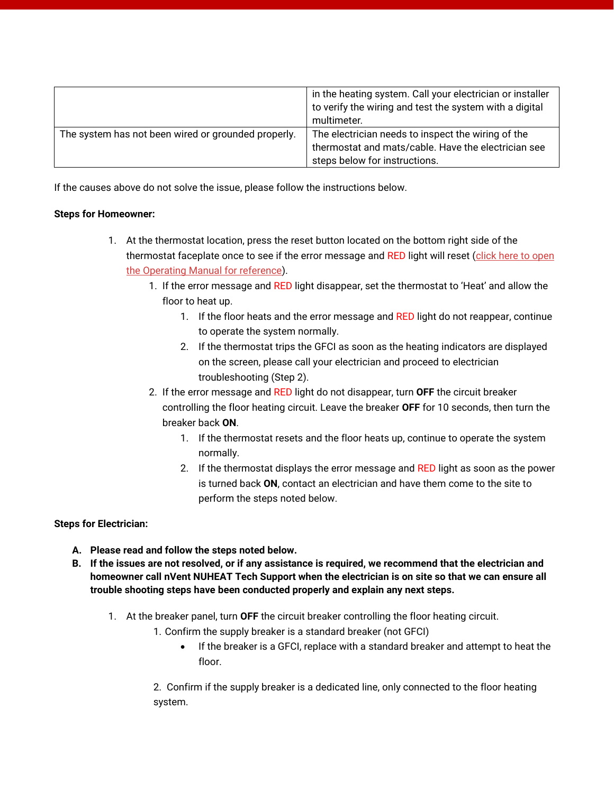|                                                     | in the heating system. Call your electrician or installer<br>to verify the wiring and test the system with a digital<br>multimeter. |
|-----------------------------------------------------|-------------------------------------------------------------------------------------------------------------------------------------|
| The system has not been wired or grounded properly. | The electrician needs to inspect the wiring of the                                                                                  |
|                                                     | thermostat and mats/cable. Have the electrician see                                                                                 |
|                                                     | steps below for instructions.                                                                                                       |

If the causes above do not solve the issue, please follow the instructions below.

### **Steps for Homeowner:**

- 1. At the thermostat location, press the reset button located on the bottom right side of the thermostat faceplate once to see if the error message and RED light will reset [\(click here to open](http://www.nuheat.com/docs/default-source/nvent-documents/thermostats/nuheat-im-h59347-homethermostatop-en-1805-web.pdf)  [the Operating Manual for reference\)](http://www.nuheat.com/docs/default-source/nvent-documents/thermostats/nuheat-im-h59347-homethermostatop-en-1805-web.pdf).
	- 1. If the error message and RED light disappear, set the thermostat to 'Heat' and allow the floor to heat up.
		- 1. If the floor heats and the error message and RED light do not reappear, continue to operate the system normally.
		- 2. If the thermostat trips the GFCI as soon as the heating indicators are displayed on the screen, please call your electrician and proceed to electrician troubleshooting (Step 2).
	- 2. If the error message and RED light do not disappear, turn **OFF** the circuit breaker controlling the floor heating circuit. Leave the breaker **OFF** for 10 seconds, then turn the breaker back **ON**.
		- 1. If the thermostat resets and the floor heats up, continue to operate the system normally.
		- 2. If the thermostat displays the error message and RED light as soon as the power is turned back **ON**, contact an electrician and have them come to the site to perform the steps noted below.

### **Steps for Electrician:**

- **A. Please read and follow the steps noted below.**
- **B. If the issues are not resolved, or if any assistance is required, we recommend that the electrician and homeowner call nVent NUHEAT Tech Support when the electrician is on site so that we can ensure all trouble shooting steps have been conducted properly and explain any next steps.**
	- 1. At the breaker panel, turn **OFF** the circuit breaker controlling the floor heating circuit.
		- 1. Confirm the supply breaker is a standard breaker (not GFCI)
			- If the breaker is a GFCI, replace with a standard breaker and attempt to heat the floor.

2. Confirm if the supply breaker is a dedicated line, only connected to the floor heating system.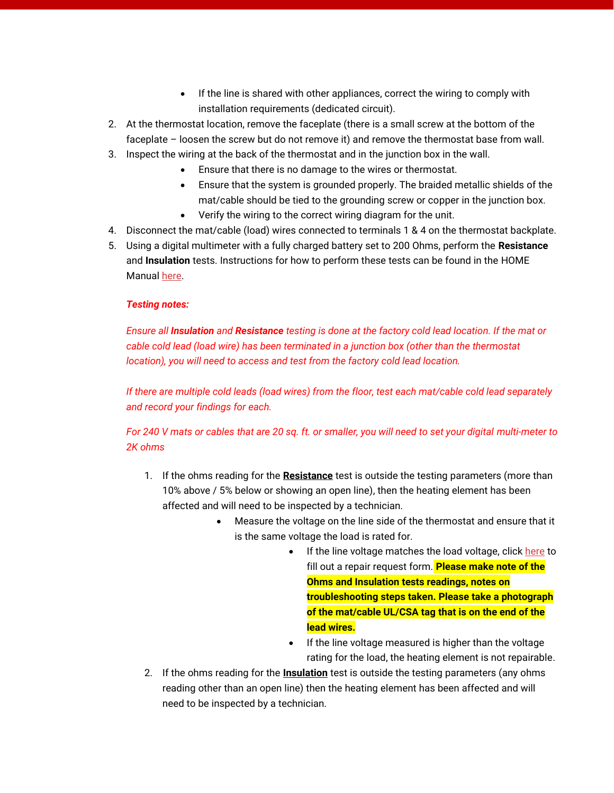- If the line is shared with other appliances, correct the wiring to comply with installation requirements (dedicated circuit).
- 2. At the thermostat location, remove the faceplate (there is a small screw at the bottom of the faceplate – loosen the screw but do not remove it) and remove the thermostat base from wall.
- 3. Inspect the wiring at the back of the thermostat and in the junction box in the wall.
	- Ensure that there is no damage to the wires or thermostat.
	- Ensure that the system is grounded properly. The braided metallic shields of the mat/cable should be tied to the grounding screw or copper in the junction box.
	- Verify the wiring to the correct wiring diagram for the unit.
- 4. Disconnect the mat/cable (load) wires connected to terminals 1 & 4 on the thermostat backplate.
- 5. Using a digital multimeter with a fully charged battery set to 200 Ohms, perform the **Resistance** and **Insulation** tests. Instructions for how to perform these tests can be found in the HOME Manua[l here.](http://www.nuheat.com/docs/default-source/nvent-documents/thermostats/nuheat-im-h59347-homethermostatop-en-1805-web.pdf)

## *Testing notes:*

*Ensure all Insulation and Resistance testing is done at the factory cold lead location. If the mat or cable cold lead (load wire) has been terminated in a junction box (other than the thermostat location), you will need to access and test from the factory cold lead location.*

*If there are multiple cold leads (load wires) from the floor, test each mat/cable cold lead separately and record your findings for each.*

*For 240 V mats or cables that are 20 sq. ft. or smaller, you will need to set your digital multi-meter to 2K ohms*

- 1. If the ohms reading for the **Resistance** test is outside the testing parameters (more than 10% above / 5% below or showing an open line), then the heating element has been affected and will need to be inspected by a technician.
	- Measure the voltage on the line side of the thermostat and ensure that it is the same voltage the load is rated for.
		- If the line voltage matches the load voltage, click [here](http://www.nuheat.com/customer-care/repair-request) to fill out a repair request form. **Please make note of the Ohms and Insulation tests readings, notes on troubleshooting steps taken. Please take a photograph of the mat/cable UL/CSA tag that is on the end of the lead wires.**
		- If the line voltage measured is higher than the voltage rating for the load, the heating element is not repairable.
- 2. If the ohms reading for the **Insulation** test is outside the testing parameters (any ohms reading other than an open line) then the heating element has been affected and will need to be inspected by a technician.